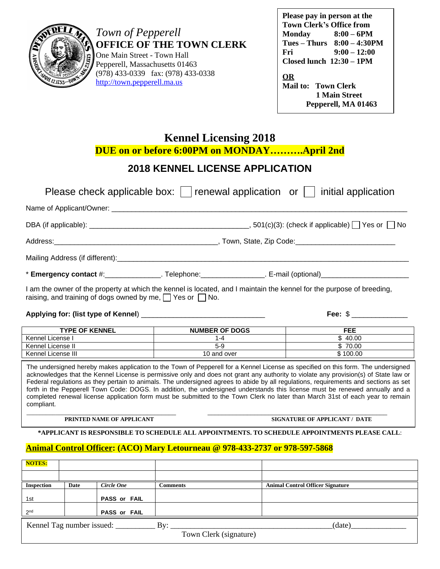

*Town of Pepperell* **OFFICE OF THE TOWN CLERK**

One Main Street - Town Hall Pepperell, Massachusetts 01463 (978) 433-0339 fax: (978) 433-0338 <http://town.pepperell.ma.us>

| Please pay in person at the<br><b>Town Clerk's Office from</b> |                                 |  |
|----------------------------------------------------------------|---------------------------------|--|
| <b>Monday</b>                                                  | $8:00 - 6$ PM                   |  |
|                                                                | $Tues - Thurs$ $8:00 - 4:30 PM$ |  |
| Fri                                                            | $9:00 - 12:00$                  |  |
| $Closed$ lunch $12:30-1PM$                                     |                                 |  |
| OR<br><b>Mail to: Town Clerk</b>                               |                                 |  |
|                                                                | <b>1 Main Street</b>            |  |
|                                                                | Pepperell, MA 01463             |  |

**[Kennel Licensing 2018](http://www.town.pepperell.ma.us/clerk)**

**[DUE on or before 6:00PM on MONDAY](http://www.town.pepperell.ma.us/clerk)[………](http://www.town.pepperell.ma.us/clerk).April [2nd](http://www.town.pepperell.ma.us/clerk)**

# **[2018 KENNEL LICENSE APPLICATION](http://www.town.pepperell.ma.us/clerk)**

|                                                                                                                                                                                                                                                                                                                                                                                                                                                                                                                        |                  | Please check applicable box: $\vert \ \vert$ renewal application or $\vert \ \vert$ initial application                                                                                                                                                                                                                                                                                                                                                                                                                                                                                                                                                                             |  |  |
|------------------------------------------------------------------------------------------------------------------------------------------------------------------------------------------------------------------------------------------------------------------------------------------------------------------------------------------------------------------------------------------------------------------------------------------------------------------------------------------------------------------------|------------------|-------------------------------------------------------------------------------------------------------------------------------------------------------------------------------------------------------------------------------------------------------------------------------------------------------------------------------------------------------------------------------------------------------------------------------------------------------------------------------------------------------------------------------------------------------------------------------------------------------------------------------------------------------------------------------------|--|--|
|                                                                                                                                                                                                                                                                                                                                                                                                                                                                                                                        |                  |                                                                                                                                                                                                                                                                                                                                                                                                                                                                                                                                                                                                                                                                                     |  |  |
|                                                                                                                                                                                                                                                                                                                                                                                                                                                                                                                        |                  |                                                                                                                                                                                                                                                                                                                                                                                                                                                                                                                                                                                                                                                                                     |  |  |
|                                                                                                                                                                                                                                                                                                                                                                                                                                                                                                                        |                  |                                                                                                                                                                                                                                                                                                                                                                                                                                                                                                                                                                                                                                                                                     |  |  |
|                                                                                                                                                                                                                                                                                                                                                                                                                                                                                                                        |                  |                                                                                                                                                                                                                                                                                                                                                                                                                                                                                                                                                                                                                                                                                     |  |  |
|                                                                                                                                                                                                                                                                                                                                                                                                                                                                                                                        |                  | * Emergency contact #:________________. Telephone:_______________. E-mail (optional)_________________________                                                                                                                                                                                                                                                                                                                                                                                                                                                                                                                                                                       |  |  |
| I am the owner of the property at which the kennel is located, and I maintain the kennel for the purpose of breeding,<br>raising, and training of dogs owned by me, $\Box$ Yes or $\Box$ No.<br>Fee: $\frac{1}{2}$ $\frac{1}{2}$ $\frac{1}{2}$ $\frac{1}{2}$ $\frac{1}{2}$ $\frac{1}{2}$ $\frac{1}{2}$ $\frac{1}{2}$ $\frac{1}{2}$ $\frac{1}{2}$ $\frac{1}{2}$ $\frac{1}{2}$ $\frac{1}{2}$ $\frac{1}{2}$ $\frac{1}{2}$ $\frac{1}{2}$ $\frac{1}{2}$ $\frac{1}{2}$ $\frac{1}{2}$ $\frac{1}{2}$ $\frac{1}{2}$ $\frac{1}{$ |                  |                                                                                                                                                                                                                                                                                                                                                                                                                                                                                                                                                                                                                                                                                     |  |  |
|                                                                                                                                                                                                                                                                                                                                                                                                                                                                                                                        |                  |                                                                                                                                                                                                                                                                                                                                                                                                                                                                                                                                                                                                                                                                                     |  |  |
| TYPE OF KENNEL <b>TYPE OF KENNEL</b>                                                                                                                                                                                                                                                                                                                                                                                                                                                                                   | NUMBER OF DOGS   | <b>FEE</b>                                                                                                                                                                                                                                                                                                                                                                                                                                                                                                                                                                                                                                                                          |  |  |
| Kennel License I<br><u> 1989 - Johann Barbara, martxa al</u>                                                                                                                                                                                                                                                                                                                                                                                                                                                           | $\overline{1-4}$ | $\overline{\$}$ 40.00                                                                                                                                                                                                                                                                                                                                                                                                                                                                                                                                                                                                                                                               |  |  |
| Kennel License II                                                                                                                                                                                                                                                                                                                                                                                                                                                                                                      | $5-9$            | \$70.00                                                                                                                                                                                                                                                                                                                                                                                                                                                                                                                                                                                                                                                                             |  |  |
| Kennel License III                                                                                                                                                                                                                                                                                                                                                                                                                                                                                                     | 10 and over      | \$100.00                                                                                                                                                                                                                                                                                                                                                                                                                                                                                                                                                                                                                                                                            |  |  |
| compliant.                                                                                                                                                                                                                                                                                                                                                                                                                                                                                                             |                  | The undersigned hereby makes application to the Town of Pepperell for a Kennel License as specified on this form. The undersigned<br>acknowledges that the Kennel License is permissive only and does not grant any authority to violate any provision(s) of State law or<br>Federal regulations as they pertain to animals. The undersigned agrees to abide by all regulations, requirements and sections as set<br>forth in the Pepperell Town Code: DOGS. In addition, the undersigned understands this license must be renewed annually and a<br>completed renewal license application form must be submitted to the Town Clerk no later than March 31st of each year to remain |  |  |

[\\_\\_\\_\\_\\_\\_\\_\\_\\_\\_\\_\\_\\_\\_](http://www.town.pepperell.ma.us/clerk)[\\_\\_\\_\\_\\_\\_\\_\\_\\_\\_\\_\\_\\_\\_\\_\\_\\_\\_\\_\\_\\_\\_\\_\\_\\_\\_\\_\\_\\_ \\_\\_\\_\\_\\_\\_\\_\\_\\_\\_\\_\\_\\_\\_\\_\\_\\_\\_\\_\\_\\_\\_\\_\\_\\_\\_\\_\\_\\_\\_\\_\\_\\_\\_\\_\\_\\_\\_\\_\\_\\_\\_\\_\\_\\_\\_\\_\\_\\_\\_](http://www.town.pepperell.ma.us/clerk)

**[PRINTED NAME OF APPLICANT](http://www.town.pepperell.ma.us/clerk) [SIGNATURE OF APPLICANT / DATE](http://www.town.pepperell.ma.us/clerk)**

**[\\*APPLICANT IS RESPONSIBLE TO SCHEDULE ALL APPOINTMENTS. TO SCHEDULE APPOINTMENTS PLEASE CALL](http://www.town.pepperell.ma.us/clerk)**[:](http://www.town.pepperell.ma.us/clerk)

## **[Animal Control Officer: \(ACO\) Mary Letourneau @ 978-433-2737 or 978-597-5868](http://www.town.pepperell.ma.us/clerk)**

| <b>NOTES:</b>                              |      |                     |          |                                         |
|--------------------------------------------|------|---------------------|----------|-----------------------------------------|
|                                            |      |                     |          |                                         |
| <b>Inspection</b>                          | Date | Circle One          | Comments | <b>Animal Control Officer Signature</b> |
| 1st                                        |      | <b>PASS or FAIL</b> |          |                                         |
| 2 <sub>nd</sub>                            |      | <b>PASS or FAIL</b> |          |                                         |
| Kennel Tag number issued:<br>By:<br>(date) |      |                     |          |                                         |
| Town Clerk (signature)                     |      |                     |          |                                         |